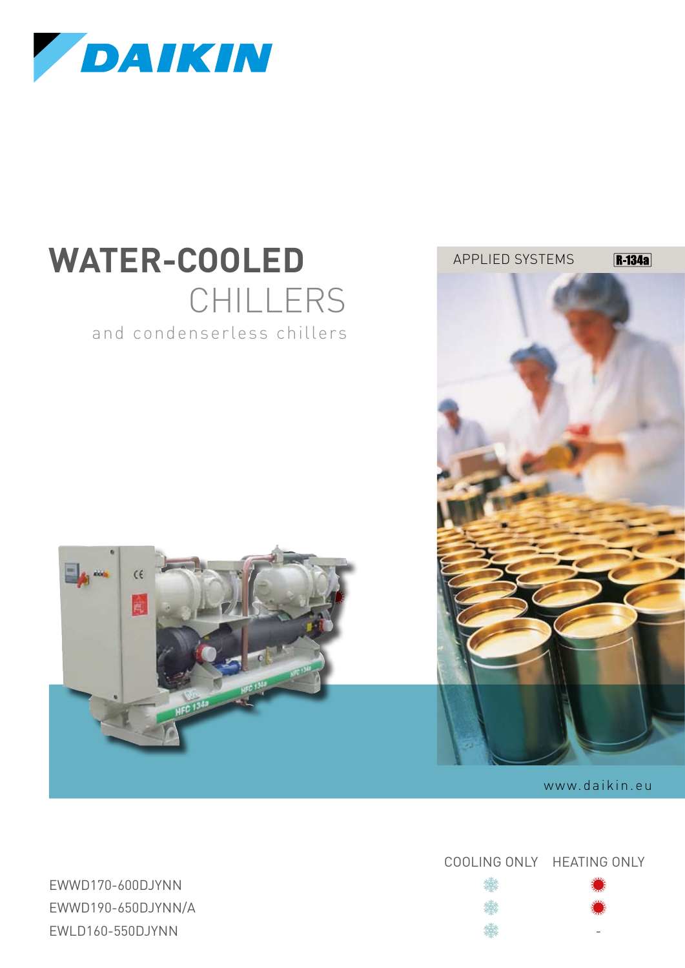

# WATER-COOLED APPLIED SYSTEMS CHILLERS and condenserless chillers





www.daikin.eu

Cooling Only Heating Only

攤 鸞

EWWD170-600DJYNN EWWD190-650DJYNN/A EWLD160-550DJYNN -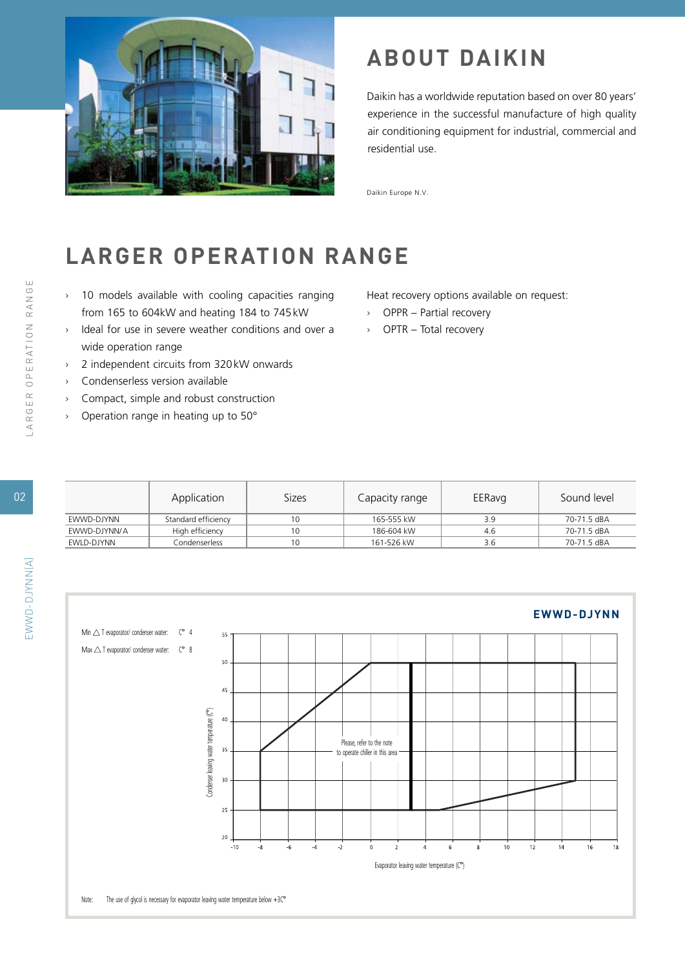

### **ABOUT DAIKIN**

Daikin has a worldwide reputation based on over 80 years' experience in the successful manufacture of high quality air conditioning equipment for industrial, commercial and residential use.

Daikin Europe N.V.

### **LARGER OPERATION RANGE**

- › 10 models available with cooling capacities ranging from 165 to 604kW and heating 184 to 745kW
- › Ideal for use in severe weather conditions and over a wide operation range
- › 2 independent circuits from 320kW onwards
- › Condenserless version available
- › Compact, simple and robust construction
- › Operation range in heating up to 50°

Heat recovery options available on request:

- › OPPR Partial recovery
- › OPTR Total recovery

|              | Application         | Sizes | Capacity range | EERavg | Sound level |
|--------------|---------------------|-------|----------------|--------|-------------|
| EWWD-DJYNN   | Standard efficiency | 10    | 165-555 kW     | 3.9    | 70-71.5 dBA |
| EWWD-DJYNN/A | High efficiency     | 10    | 186-604 kW     | 4.6    | 70-71.5 dBA |
| EWLD-DJYNN   | Condenserless       | 10    | 161-526 kW     | 3.6    | 70-71.5 dBA |

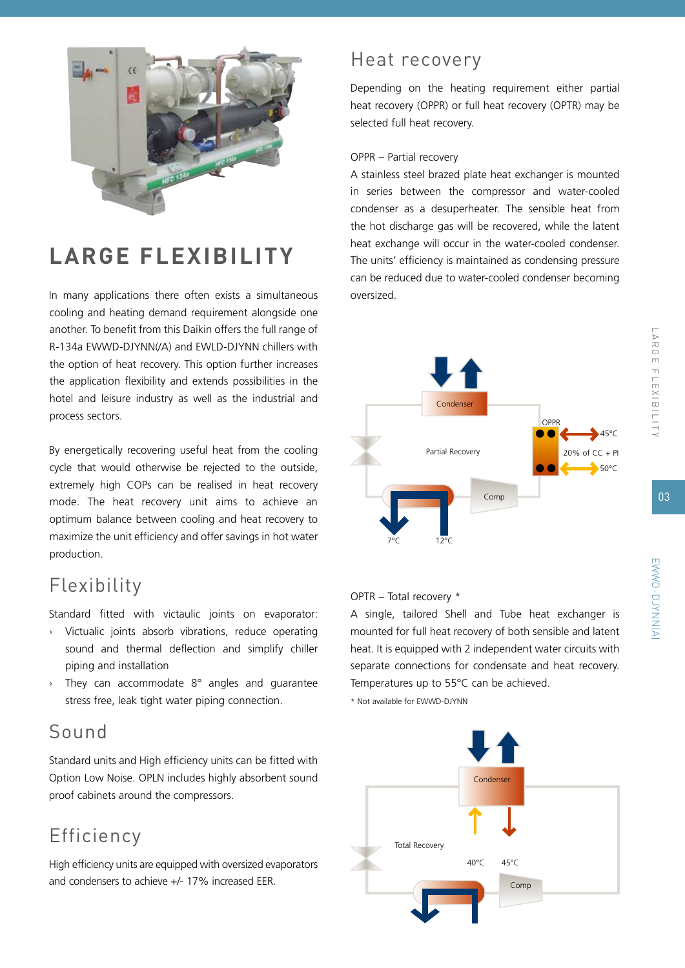

## **LARGE FLEXIBILITY**

In many applications there often exists a simultaneous cooling and heating demand requirement alongside one another. To benefit from this Daikin offers the full range of R-134a EWWD-DJYNN(/A) and EWLD-DJYNN chillers with the option of heat recovery. This option further increases the application flexibility and extends possibilities in the hotel and leisure industry as well as the industrial and process sectors.

By energetically recovering useful heat from the cooling cycle that would otherwise be rejected to the outside, extremely high COPs can be realised in heat recovery mode. The heat recovery unit aims to achieve an optimum balance between cooling and heat recovery to maximize the unit efficiency and offer savings in hot water production.

### Flexibility

Standard fitted with victaulic joints on evaporator:

- › Victualic joints absorb vibrations, reduce operating sound and thermal deflection and simplify chiller piping and installation
- $\rightarrow$  They can accommodate 8 $\degree$  angles and guarantee stress free, leak tight water piping connection.

### Sound

Standard units and High efficiency units can be fitted with Option Low Noise. OPLN includes highly absorbent sound proof cabinets around the compressors.

### Efficiency

High efficiency units are equipped with oversized evaporators and condensers to achieve +/- 17% increased EER.

### Heat recovery

Depending on the heating requirement either partial heat recovery (OPPR) or full heat recovery (OPTR) may be selected full heat recovery.

#### OPPR – Partial recovery

A stainless steel brazed plate heat exchanger is mounted in series between the compressor and water-cooled condenser as a desuperheater. The sensible heat from the hot discharge gas will be recovered, while the latent heat exchange will occur in the water-cooled condenser. The units' efficiency is maintained as condensing pressure can be reduced due to water-cooled condenser becoming oversized.



#### OPTR – Total recovery \*

A single, tailored Shell and Tube heat exchanger is mounted for full heat recovery of both sensible and latent heat. It is equipped with 2 independent water circuits with separate connections for condensate and heat recovery. Temperatures up to 55°C can be achieved.

\* Not available for EWWD-DJYNN



LAR G E f le x i b ility

EWWD-DJYNN(A)

EWWD-DJYNNKA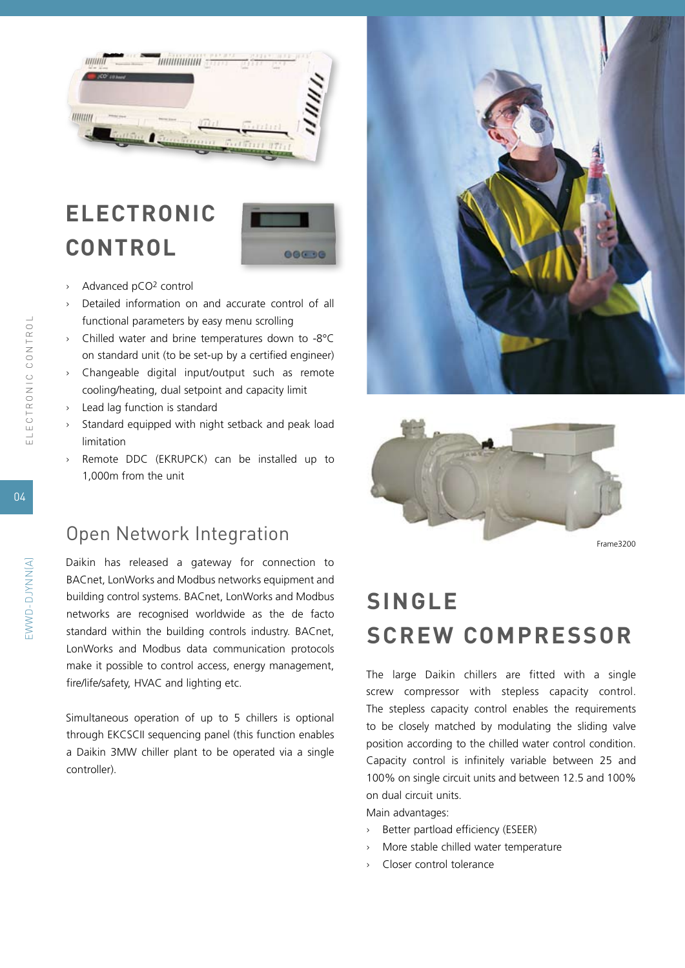

## **electronic control**



- › Advanced pCO2 control
- › Detailed information on and accurate control of all functional parameters by easy menu scrolling
- › Chilled water and brine temperatures down to -8°C on standard unit (to be set-up by a certified engineer)
- › Changeable digital input/output such as remote cooling/heating, dual setpoint and capacity limit
- › Lead lag function is standard
- › Standard equipped with night setback and peak load limitation
- › Remote DDC (EKRUPCK) can be installed up to 1,000m from the unit

#### Open Network Integration

Daikin has released a gateway for connection to BACnet, LonWorks and Modbus networks equipment and building control systems. BACnet, LonWorks and Modbus networks are recognised worldwide as the de facto standard within the building controls industry. BACnet, LonWorks and Modbus data communication protocols make it possible to control access, energy management, fire/life/safety, HVAC and lighting etc.

Simultaneous operation of up to 5 chillers is optional through EKCSCII sequencing panel (this function enables a Daikin 3MW chiller plant to be operated via a single controller).





Frame3200

## **Single screw compressor**

The large Daikin chillers are fitted with a single screw compressor with stepless capacity control. The stepless capacity control enables the requirements to be closely matched by modulating the sliding valve position according to the chilled water control condition. Capacity control is infinitely variable between 25 and 100% on single circuit units and between 12.5 and 100% on dual circuit units.

Main advantages:

- › Better partload efficiency (ESEER)
- More stable chilled water temperature
- › Closer control tolerance

04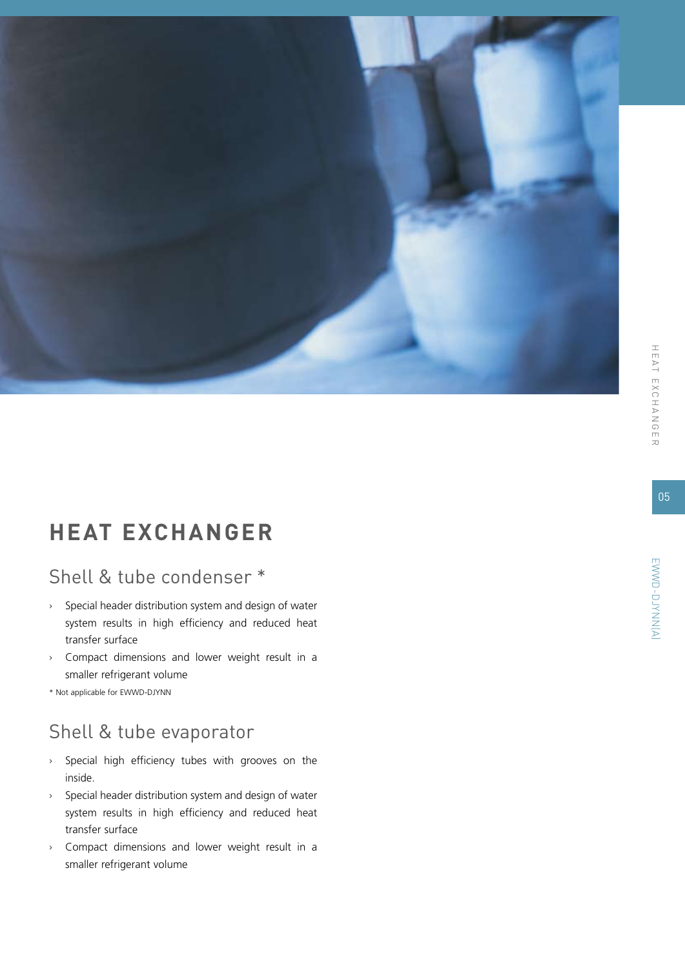

### **heat e xchanger**

### Shell & tube condenser \*

- › Special header distribution system and design of water system results in high efficiency and reduced heat transfer surface
- › Compact dimensions and lower weight result in a smaller refrigerant volume
- \* Not applicable for EWWD-DJYNN

### Shell & tube evaporator

- › Special high efficiency tubes with grooves on the inside.
- › Special header distribution system and design of water system results in high efficiency and reduced heat transfer surface
- › Compact dimensions and lower weight result in a smaller refrigerant volume

05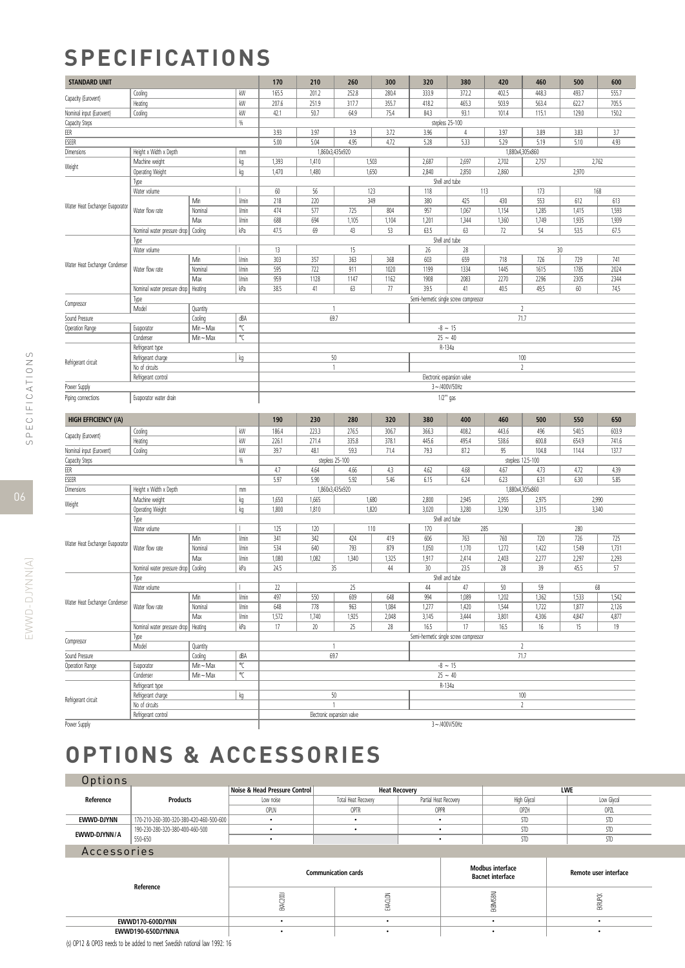### **Specifications**

| <b>STANDARD UNIT</b>                  |                             |                     |       | 170                          | 210             | 260                                  | 300            | 320                                       | 380                                   | 420            | 460             | 500            | 600            |  |  |
|---------------------------------------|-----------------------------|---------------------|-------|------------------------------|-----------------|--------------------------------------|----------------|-------------------------------------------|---------------------------------------|----------------|-----------------|----------------|----------------|--|--|
|                                       | Cooling                     |                     | kW    | 165.5                        | 201.2           | 252.8                                | 280.4          | 333.9                                     | 372.2                                 | 402.5          | 448.3           | 493.7          | 555.7          |  |  |
| Capacity (Eurovent)                   | Heating                     |                     | kW    | 207.6                        | 251.9           | 317.7                                | 355.7          | 418.2                                     | 465.3                                 | 503.9          | 563.4           | 622.7          | 705.5          |  |  |
| Nominal input (Eurovent)              | Cooling                     |                     | kW    | 42.1                         | 50.7            | 64.9                                 | 75.4           | 84.3                                      | 93.1                                  | 101.4          | 115.1           | 129.0          | 150.2          |  |  |
| Capacity Steps                        |                             |                     | %     |                              | stepless 25-100 |                                      |                |                                           |                                       |                |                 |                |                |  |  |
| EER                                   |                             |                     |       | 3.93                         | 3.97            | 3.9                                  | 3.72           | 3.96                                      | 4                                     | 3.97           | 3.89            | 3.83           | 3.7            |  |  |
| <b>ESEER</b>                          |                             |                     |       | 5.00                         | 5.04            | 4.95                                 | 4.72           | 5.28                                      | 5.33                                  | 5.29           | 5.19            | 5.10           | 4.93           |  |  |
| Dimensions                            | Height x Width x Depth      |                     | mm    |                              | 1,860x3,435x920 |                                      |                |                                           |                                       |                | 1,880x4,305x860 |                |                |  |  |
| Weight                                | Machine weight              |                     | kg    | 1,393                        | 1,410           |                                      | 1,503          | 2,687                                     | 2,697                                 | 2,702          | 2,757           | 2,762          |                |  |  |
|                                       | Operating Weight            |                     | kg    | 1,470                        | 1,480           |                                      | 1,650          | 2,840                                     | 2,850                                 | 2,860          |                 | 2,970          |                |  |  |
|                                       | Type                        |                     |       |                              |                 |                                      |                |                                           | Shell and tube                        |                |                 |                |                |  |  |
|                                       | Water volume                |                     |       | 60                           | 56              |                                      | 123            | 118                                       |                                       | 113            | 173             |                | 168            |  |  |
| Water Heat Exchanger Evaporator       |                             | Min                 | l/min | 218                          | 220             |                                      | 349            | 380                                       | 425                                   | 430            | 553             | 612            | 613            |  |  |
|                                       | Water flow rate             | Nominal             | l/min | 474                          | 577             | 725                                  | 804            | 957                                       | 1,067                                 | 1,154          | 1,285           | 1,415          | 1,593          |  |  |
|                                       |                             | Max                 | l/min | 688                          | 694             | 1,105                                | 1,104          | 1,201                                     | 1,344                                 | 1,360          | 1,749           | 1,935          | 1,939          |  |  |
|                                       | Nominal water pressure drop | Cooling             | kPa   | 47.5                         | 69              | 43                                   | 53             | 63.5                                      | 63                                    | 72             | 54              | 53.5           | 67.5           |  |  |
|                                       | Type                        |                     |       |                              |                 |                                      |                |                                           | Shell and tube                        |                |                 |                |                |  |  |
|                                       | Water volume                |                     |       | 13                           |                 | 15                                   |                | 26                                        | 28                                    |                | 30              |                |                |  |  |
| Water Heat Exchanger Condenser        |                             | Min                 | l/min | 303                          | 357             | 363                                  | 368            | 603                                       | 659                                   | 718            | 726             | 729            | 741            |  |  |
|                                       | Water flow rate             | Nominal             | l/min | 595                          | 722             | 911                                  | 1020           | 1199                                      | 1334                                  | 1445           | 1615            | 1785           | 2024           |  |  |
|                                       |                             | Max                 | l/min | 959                          | 1128            | 1147                                 | 1162           | 1908                                      | 2083                                  | 2270           | 2296            | 2305           | 2344           |  |  |
|                                       | Nominal water pressure drop | Heating             | kPa   | 38.5                         | 41              | 63                                   | 77             | 39.5                                      | 41                                    | 40.5           | 49,5            | 60             | 74,5           |  |  |
| Compressor                            | Type<br>Model               |                     |       |                              | $\mathbf{1}$    |                                      |                | Semi-hermetic single screw compressor     |                                       |                | $\overline{2}$  |                |                |  |  |
| Sound Pressure                        |                             | Quantity<br>Cooling | dBA   |                              | 69.7            |                                      |                |                                           |                                       |                | 71.7            |                |                |  |  |
| Operation Range                       | Evaporator                  | Min~Max             | °C    |                              |                 |                                      |                |                                           | $-8 - 15$                             |                |                 |                |                |  |  |
|                                       | Condenser                   | $Min - Max$         | °C    |                              |                 |                                      |                | $25 - 40$                                 |                                       |                |                 |                |                |  |  |
|                                       | Refrigerant type            |                     |       |                              |                 |                                      |                | R-134a                                    |                                       |                |                 |                |                |  |  |
|                                       | Refrigerant charge          |                     | kg    |                              | $50\,$          |                                      |                |                                           |                                       |                | 100             |                |                |  |  |
| Refrigerant circuit<br>No of circuits |                             |                     |       |                              | $\mathbf{1}$    |                                      |                | $\overline{2}$                            |                                       |                |                 |                |                |  |  |
|                                       | Refrigerant control         |                     |       | Electronic expansion valve   |                 |                                      |                |                                           |                                       |                |                 |                |                |  |  |
| Power Supply                          |                             |                     |       | 3~/400V/50Hz                 |                 |                                      |                |                                           |                                       |                |                 |                |                |  |  |
| Piping connections                    | Evaporator water drain      |                     |       |                              |                 | 1/2" gas                             |                |                                           |                                       |                |                 |                |                |  |  |
|                                       |                             |                     |       |                              |                 |                                      |                |                                           |                                       |                |                 |                |                |  |  |
| <b>HIGH EFFICIENCY (/A)</b>           |                             |                     |       | 190                          | 230             | 280                                  | 320            | 380                                       | 400                                   | 460            | 500             | 550            | 650            |  |  |
|                                       | Cooling                     |                     | kW    | 186.4                        | 223.3           | 276.5                                | 306.7          | 366.3                                     | 408.2                                 | 443.6          | 496             | 540.5          | 603.9          |  |  |
| Capacity (Eurovent)                   | Heating                     |                     | kW    | 226.1                        | 271.4           | 335.8                                | 378.1          | 445.6                                     | 495.4                                 | 538.6          | 600.8           | 654.9          | 741.6          |  |  |
| Nominal input (Eurovent)              | Cooling                     |                     | kW    | 39.7                         | 48.1            | 59.3                                 | 71.4           | 79.3                                      | 87.2                                  | 95             | 104.8           | 114.4          | 137.7          |  |  |
| Capacity Steps                        |                             |                     | %     | stepless 25-100              |                 |                                      |                | stepless 12.5-100                         |                                       |                |                 |                |                |  |  |
| EER                                   |                             |                     |       | 4.7                          | 4.64            | 4.66                                 | 4.3            | 4.62                                      | 4.68                                  | 4.67           | 4.73            | 4.72           | 4.39           |  |  |
| ESEER                                 |                             |                     |       | 5.97<br>5.90<br>5.92<br>5.46 |                 | 6.15<br>6.24<br>6.23<br>6.31<br>6.30 |                |                                           |                                       | 5.85           |                 |                |                |  |  |
| Dimensions                            | Height x Width x Depth      |                     | mm    |                              | 1,860x3,435x920 |                                      |                | 1,880x4,305x860                           |                                       |                |                 |                |                |  |  |
| Weight                                | Machine weight              |                     | kg    | 1,650                        | 1,665           |                                      | 1,680          | 2,800<br>2,945<br>2,955<br>2,975<br>2,990 |                                       |                |                 |                |                |  |  |
|                                       | Operating Weight            |                     | kg    | 1,800                        | 1,810           |                                      | 1,820          | 3,020                                     | 3,280                                 | 3,290          | 3,315           |                | 3,340          |  |  |
|                                       | Type                        |                     |       |                              |                 |                                      |                | Shell and tube                            |                                       |                |                 |                |                |  |  |
|                                       | Water volume                |                     |       | 125                          | 120             |                                      | 110            | 170                                       |                                       | 285            |                 | 280            |                |  |  |
| Water Heat Exchanger Evaporator       |                             | Min                 | l/min | 341                          | 342             | 424                                  | 419            | 606                                       | 763                                   | 760            | 720             | 726            | 725            |  |  |
|                                       | Water flow rate             | Nominal             | l/min | 534                          | 640             | 793                                  | 879            | 1,050                                     | 1,170                                 | 1,272          | 1,422           | 1,549          | 1,731          |  |  |
|                                       |                             | Max                 | l/min | 1,080                        | 1,082           | 1,340                                | 1,325          | 1,917                                     | 2,414                                 | 2,403          | 2,277           | 2,297          | 2,293          |  |  |
|                                       | Nominal water pressure drop | Cooling             | kPa   | 24.5                         | 35              |                                      | 44             | 30                                        | 23.5                                  | 28             | 39              | 45.5           | 57             |  |  |
|                                       | Type<br>Water volume        |                     |       | 22                           |                 | 25                                   |                |                                           | Shell and tube                        | 50             | 59              |                | 68             |  |  |
|                                       |                             | Min                 | l/min |                              |                 |                                      |                | 44                                        | 47                                    |                |                 |                |                |  |  |
| Water Heat Exchanger Condenser        | Water flow rate             | Nominal             | l/min | 497<br>648                   | 550<br>778      | 609<br>963                           | 648            | 994                                       | 1,089                                 | 1,202          | 1,362           | 1,533          | 1,542          |  |  |
|                                       |                             | Max                 | l/min | 1,572                        | 1,740           | 1,925                                | 1,084<br>2,048 | 1,277<br>3,145                            | 1,420<br>3,444                        | 1,544<br>3,801 | 1,722<br>4,306  | 1,877<br>4,847 | 2,126<br>4,877 |  |  |
|                                       | Nominal water pressure drop | Heating             | kPa   | 17                           | 20              | 25                                   | 28             | 16.5                                      | 17                                    | 16.5           | 16              | 15             | 19             |  |  |
|                                       |                             |                     |       |                              |                 |                                      |                |                                           | Semi-hermetic single screw compressor |                |                 |                |                |  |  |
| Compressor                            | Type<br>Model               | Quantity            |       |                              | $\mathbf{1}$    |                                      |                |                                           |                                       |                | $\overline{2}$  |                |                |  |  |
| Sound Pressure                        |                             | Cooling             | dBA   |                              | 69.7            |                                      |                |                                           |                                       |                | 71.7            |                |                |  |  |
| Operation Range                       | Evaporator                  | $Min \sim Max$      | °C    |                              |                 |                                      |                |                                           | $-8 - 15$                             |                |                 |                |                |  |  |
|                                       | Condenser                   | $Min \sim Max$      | °C    |                              |                 |                                      |                |                                           | $25 - 40$                             |                |                 |                |                |  |  |
|                                       | Refrigerant type            |                     |       |                              |                 |                                      |                |                                           | R-134a                                |                |                 |                |                |  |  |
|                                       | Refrigerant charge          |                     | kg    |                              | 50              |                                      |                |                                           |                                       |                | $100\,$         |                |                |  |  |
| Refrigerant circuit                   | No of circuits              |                     |       |                              | $\mathbf{1}$    |                                      |                |                                           |                                       |                | $\overline{2}$  |                |                |  |  |
|                                       | Refrigerant control         |                     |       |                              |                 | Electronic expansion valve           |                |                                           |                                       |                |                 |                |                |  |  |
| Power Supply                          |                             |                     |       | $3 - 1400V/50Hz$             |                 |                                      |                |                                           |                                       |                |                 |                |                |  |  |

# **options & accessories**

| Options      |                                         |                               |                      |                       |             |            |  |  |  |
|--------------|-----------------------------------------|-------------------------------|----------------------|-----------------------|-------------|------------|--|--|--|
|              |                                         | Noise & Head Pressure Control | <b>Heat Recovery</b> |                       | <b>LWE</b>  |            |  |  |  |
| Reference    | <b>Products</b>                         | Low noise                     | Total Heat Recovery  | Partial Heat Recovery | High Glycol | Low Glycol |  |  |  |
|              |                                         | OPLN                          | OPTR                 | OPPR                  | OPZH        | OPZL       |  |  |  |
| EWWD-DJYNN   | 170-210-260-300-320-380-420-460-500-600 |                               |                      |                       | STD         | STD        |  |  |  |
| EWWD-DJYNN/A | 190-230-280-320-380-400-460-500         |                               |                      |                       | STD         | STD        |  |  |  |
|              | 550-650                                 |                               |                      |                       | STD         | STD        |  |  |  |
| Accessories  |                                         |                               |                      |                       |             |            |  |  |  |
|              |                                         |                               |                      |                       |             |            |  |  |  |

|                                                                                                                                                                                                                                     |    | <b>Communication cards</b> | <b>Modbus interface</b><br><b>Bacnet interface</b> | <b>Remote user interface</b> |  |
|-------------------------------------------------------------------------------------------------------------------------------------------------------------------------------------------------------------------------------------|----|----------------------------|----------------------------------------------------|------------------------------|--|
| Reference                                                                                                                                                                                                                           | -- |                            | 斎<br>图                                             | ≊                            |  |
| EWWD170-600DJYNN                                                                                                                                                                                                                    |    |                            |                                                    |                              |  |
| EWWD190-650DJYNN/A                                                                                                                                                                                                                  |    |                            |                                                    |                              |  |
| $\overline{a}$ , and a set of the set of the set of the set of the set of the set of the set of the set of the set of the set of the set of the set of the set of the set of the set of the set of the set of the set of the set of |    |                            |                                                    |                              |  |

(s) OP12 & OP03 needs to be added to meet Swedish national law 1992: 16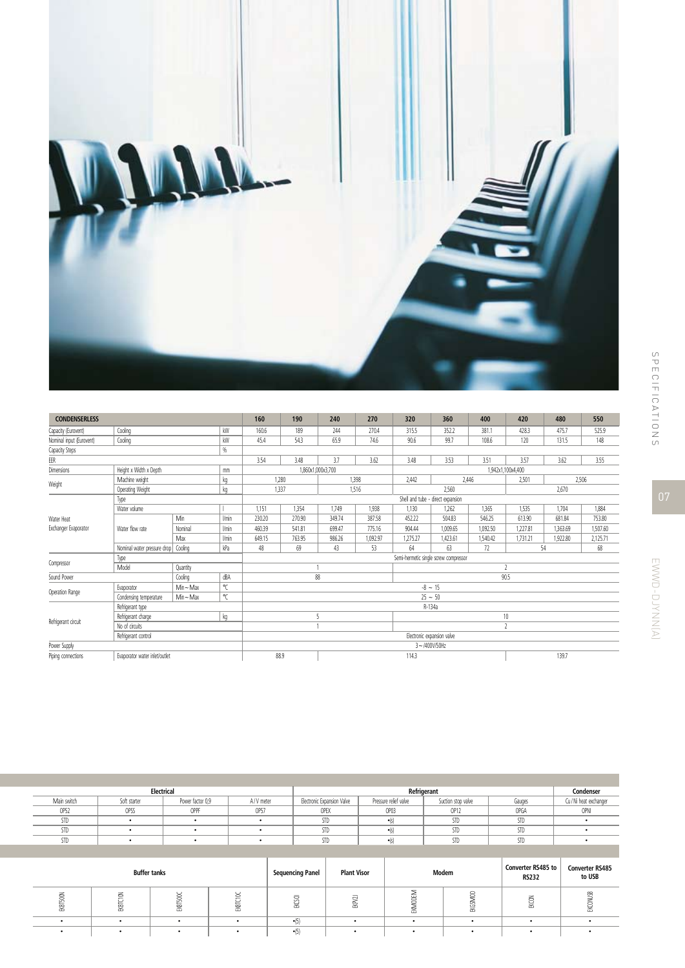

| <b>CONDENSERLESS</b>     | 160                           | 190            | 240          | 270                                   | 320                               | 360                      | 400      | 420                      | 480       | 550      |                   |          |          |  |
|--------------------------|-------------------------------|----------------|--------------|---------------------------------------|-----------------------------------|--------------------------|----------|--------------------------|-----------|----------|-------------------|----------|----------|--|
| Capacity (Eurovent)      | Coolina                       |                | kW           | 160.6                                 | 189                               | 244                      | 270.4    | 315.5                    | 352.2     | 381.1    | 428.3             | 475.7    | 525.9    |  |
| Nominal input (Eurovent) | Cooling                       |                | kW           | 45.4                                  | 54.3                              | 65.9                     | 74.6     | 90.6                     | 99.7      | 108.6    | 120               | 131.5    | 148      |  |
| Capacity Steps           |                               |                | %            |                                       |                                   |                          |          |                          |           |          |                   |          |          |  |
| EER                      |                               |                |              | 3.54                                  | 3.48                              | 3.7                      | 3.62     | 3.48                     | 3.53      | 3.51     | 3.57              | 3.62     | 3.55     |  |
| Dimensions               | Height x Width x Depth        |                | mm           |                                       |                                   | 1,860x1,000x3,700        |          |                          |           |          | 1,942x1,100x4,400 |          |          |  |
| Weight                   | Machine weight                |                | kg           |                                       | 1.280                             |                          | 1.398    | 2,442                    |           | 2,446    | 2,501             | 2,506    |          |  |
|                          | Operating Weight              |                | kq           |                                       | 1,337                             |                          | 1,516    |                          | 2.560     |          |                   | 2,670    |          |  |
|                          | Type                          |                |              |                                       | Shell and tube - direct expansion |                          |          |                          |           |          |                   |          |          |  |
|                          | Water volume                  |                |              | 1,151                                 | 1,354                             | 1,749                    | 1,938    | 1,130                    | 1,262     | 1.365    | 1,535             | 1,704    | 1,884    |  |
| Water Heat               | Water flow rate               | Min            | <b>Vmin</b>  | 230.20                                | 270.90                            | 349.74                   | 387.58   | 452.22                   | 504.83    | 546.25   | 613.90            | 681.84   | 753.80   |  |
| Exchanger Evaporator     |                               | Nominal        | l/min        | 460.39                                | 541.81                            | 699.47                   | 775.16   | 904.44                   | 1,009.65  | 1,092.50 | 1.227.81          | 1,363.69 | 1.507.60 |  |
|                          |                               | Max            | <b>Vmin</b>  | 649.15                                | 763.95                            | 986.26                   | 1,092.97 | 1,275.27                 | 1,423.61  | 1,540.42 | 1,731.21          | 1,922.80 | 2,125.71 |  |
|                          | Nominal water pressure drop   | Cooling        | kPa          | 48                                    | 69                                | 43                       | 53       | 64                       | 63        | 72       | 54                |          | 68       |  |
| Compressor               | Type                          |                |              | Semi-hermetic single screw compressor |                                   |                          |          |                          |           |          |                   |          |          |  |
|                          | Model                         | Quantity       |              |                                       |                                   | $\overline{\phantom{a}}$ |          |                          |           |          |                   |          |          |  |
| Sound Power              |                               | Cooling        | dBA          |                                       |                                   | 88                       |          |                          |           | 90.5     |                   |          |          |  |
| Operation Range          | Evaporator                    | $Min \sim Max$ | $^{\circ}$ C |                                       |                                   |                          |          |                          | $-8 - 15$ |          |                   |          |          |  |
|                          | Condensing temperature        | Min~Max        | $^{\circ}$ C | $25 - 50$                             |                                   |                          |          |                          |           |          |                   |          |          |  |
|                          | Refrigerant type              |                |              | R-134a                                |                                   |                          |          |                          |           |          |                   |          |          |  |
| Refrigerant circuit      | Refrigerant charge            |                | kg           |                                       | 5                                 |                          |          | 10                       |           |          |                   |          |          |  |
|                          | No of circuits                |                |              |                                       |                                   |                          |          | $\overline{\phantom{a}}$ |           |          |                   |          |          |  |
|                          | Refrigerant control           |                |              |                                       | Electronic expansion valve        |                          |          |                          |           |          |                   |          |          |  |
| Power Supply             |                               |                |              | $3 - 1400V/50Hz$                      |                                   |                          |          |                          |           |          |                   |          |          |  |
| Piping connections       | Evaporator water inlet/outlet |                |              |                                       | 88.9<br>114.3                     |                          |          |                          |           |          |                   | 139.7    |          |  |

|             | Electrical   |                  |           |                            | Condenser                 |                    |        |                        |
|-------------|--------------|------------------|-----------|----------------------------|---------------------------|--------------------|--------|------------------------|
| Main switch | Soft starter | Power factor 0,9 | A/V meter | Electronic Expansion Valve | Pressure relief valve     | Suction stop valve | Gauges | Cu / Ni heat exchanger |
| OP52        | OPSS         | OPPF             | OP57      | OPEX                       | OP03                      | OP12               | OPGA   | <b>OPNI</b>            |
| <b>STD</b>  |              |                  |           | <b>STD</b>                 | $\bullet$ $\circ$ $\circ$ | STD                | STD    |                        |
| <b>STD</b>  |              |                  |           | STD                        | $\bullet$ (c)             | STD                | STD    |                        |
| STD         |              |                  |           | <b>STD</b>                 | $\bullet$ (s)             | STD                | STD    |                        |
|             |              |                  |           |                            |                           |                    |        |                        |

| <b>Buffer tanks</b> |   |   |        | <b>Sequencing Panel</b> | <b>Plant Visor</b> |        | Modem             | Converter RS485 to<br><b>RS232</b> | <b>Converter RS485</b><br>to USB |
|---------------------|---|---|--------|-------------------------|--------------------|--------|-------------------|------------------------------------|----------------------------------|
| ≊                   | 黑 | 図 | ¥<br>图 | -<br>図                  | 昱                  | ₩<br>훕 | $\approx$<br>EKGS | る<br>¥                             | $\sim$<br>泴                      |
|                     |   |   |        |                         |                    |        |                   |                                    |                                  |
|                     |   |   |        | $\bullet$               |                    |        |                   |                                    |                                  |